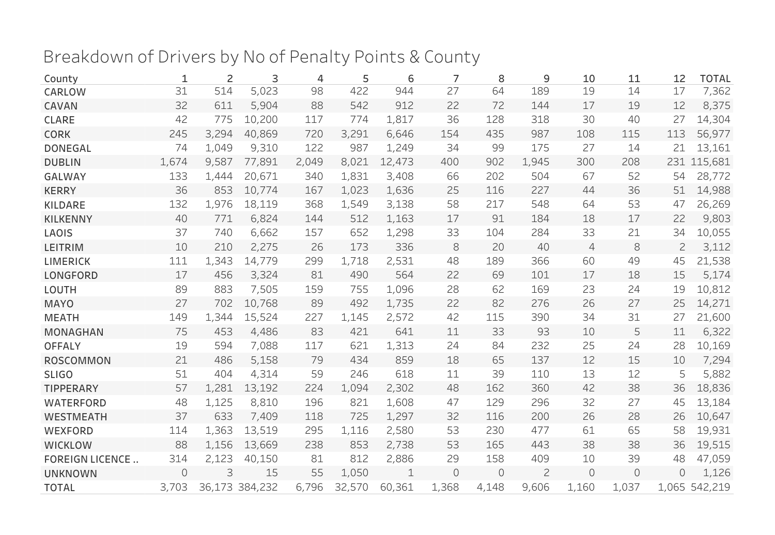## Breakdown of Drivers by No of Penalty Points & County

| County                 | 1     | 2     | 3              | $\overline{4}$ | 5      | 6      | 7       | 8        | 9              | 10             | 11       | 12           | <b>TOTAL</b>  |
|------------------------|-------|-------|----------------|----------------|--------|--------|---------|----------|----------------|----------------|----------|--------------|---------------|
| CARLOW                 | 31    | 514   | 5,023          | 98             | 422    | 944    | 27      | 64       | 189            | 19             | 14       | 17           | 7,362         |
| CAVAN                  | 32    | 611   | 5,904          | 88             | 542    | 912    | 22      | 72       | 144            | 17             | 19       | 12           | 8,375         |
| <b>CLARE</b>           | 42    | 775   | 10,200         | 117            | 774    | 1,817  | 36      | 128      | 318            | 30             | 40       | 27           | 14,304        |
| <b>CORK</b>            | 245   | 3,294 | 40,869         | 720            | 3,291  | 6,646  | 154     | 435      | 987            | 108            | 115      | 113          | 56,977        |
| <b>DONEGAL</b>         | 74    | 1,049 | 9,310          | 122            | 987    | 1,249  | 34      | 99       | 175            | 27             | 14       | 21           | 13,161        |
| <b>DUBLIN</b>          | 1,674 | 9,587 | 77,891         | 2,049          | 8,021  | 12,473 | 400     | 902      | 1,945          | 300            | 208      |              | 231 115,681   |
| <b>GALWAY</b>          | 133   | 1,444 | 20,671         | 340            | 1,831  | 3,408  | 66      | 202      | 504            | 67             | 52       | 54           | 28,772        |
| <b>KERRY</b>           | 36    | 853   | 10,774         | 167            | 1,023  | 1,636  | 25      | 116      | 227            | 44             | 36       | 51           | 14,988        |
| <b>KILDARE</b>         | 132   | 1,976 | 18,119         | 368            | 1,549  | 3,138  | 58      | 217      | 548            | 64             | 53       | 47           | 26,269        |
| <b>KILKENNY</b>        | 40    | 771   | 6,824          | 144            | 512    | 1,163  | 17      | 91       | 184            | 18             | 17       | 22           | 9,803         |
| LAOIS                  | 37    | 740   | 6,662          | 157            | 652    | 1,298  | 33      | 104      | 284            | 33             | 21       | 34           | 10,055        |
| <b>LEITRIM</b>         | 10    | 210   | 2,275          | 26             | 173    | 336    | 8       | 20       | 40             | $\overline{4}$ | 8        | $\mathbf{Z}$ | 3,112         |
| <b>LIMERICK</b>        | 111   | 1,343 | 14,779         | 299            | 1,718  | 2,531  | 48      | 189      | 366            | 60             | 49       | 45           | 21,538        |
| <b>LONGFORD</b>        | 17    | 456   | 3,324          | 81             | 490    | 564    | 22      | 69       | 101            | 17             | 18       | 15           | 5,174         |
| LOUTH                  | 89    | 883   | 7,505          | 159            | 755    | 1,096  | 28      | 62       | 169            | 23             | 24       | 19           | 10,812        |
| <b>MAYO</b>            | 27    | 702   | 10,768         | 89             | 492    | 1,735  | 22      | 82       | 276            | 26             | 27       | 25           | 14,271        |
| <b>MEATH</b>           | 149   | 1,344 | 15,524         | 227            | 1,145  | 2,572  | 42      | 115      | 390            | 34             | 31       | 27           | 21,600        |
| <b>MONAGHAN</b>        | 75    | 453   | 4,486          | 83             | 421    | 641    | 11      | 33       | 93             | 10             | 5        | 11           | 6,322         |
| <b>OFFALY</b>          | 19    | 594   | 7,088          | 117            | 621    | 1,313  | 24      | 84       | 232            | 25             | 24       | 28           | 10,169        |
| <b>ROSCOMMON</b>       | 21    | 486   | 5,158          | 79             | 434    | 859    | 18      | 65       | 137            | 12             | 15       | 10           | 7,294         |
| <b>SLIGO</b>           | 51    | 404   | 4,314          | 59             | 246    | 618    | 11      | 39       | 110            | 13             | 12       | 5            | 5,882         |
| <b>TIPPERARY</b>       | 57    | 1,281 | 13,192         | 224            | 1,094  | 2,302  | 48      | 162      | 360            | 42             | 38       | 36           | 18,836        |
| <b>WATERFORD</b>       | 48    | 1,125 | 8,810          | 196            | 821    | 1,608  | 47      | 129      | 296            | 32             | 27       | 45           | 13,184        |
| <b>WESTMEATH</b>       | 37    | 633   | 7,409          | 118            | 725    | 1,297  | 32      | 116      | 200            | 26             | 28       | 26           | 10,647        |
| WEXFORD                | 114   | 1,363 | 13,519         | 295            | 1,116  | 2,580  | 53      | 230      | 477            | 61             | 65       | 58           | 19,931        |
| <b>WICKLOW</b>         | 88    | 1,156 | 13,669         | 238            | 853    | 2,738  | 53      | 165      | 443            | 38             | 38       | 36           | 19,515        |
| <b>FOREIGN LICENCE</b> | 314   | 2,123 | 40,150         | 81             | 812    | 2,886  | 29      | 158      | 409            | 10             | 39       | 48           | 47,059        |
| <b>UNKNOWN</b>         | 0     | 3     | 15             | 55             | 1,050  | 1      | $\circ$ | $\Omega$ | $\overline{c}$ | $\circ$        | $\Omega$ | $\Omega$     | 1,126         |
| <b>TOTAL</b>           | 3,703 |       | 36,173 384,232 | 6,796          | 32,570 | 60,361 | 1,368   | 4,148    | 9,606          | 1,160          | 1,037    |              | 1,065 542,219 |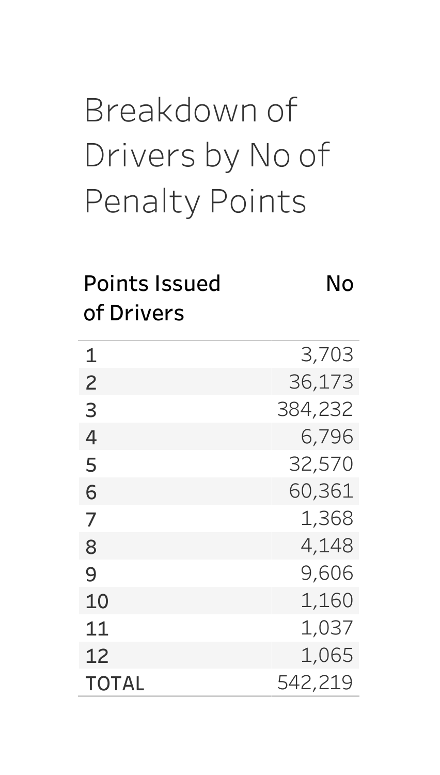## Breakdownof Drivers by No of Penalty Points

#### PointsIssued No ofDrivers

| 1              | 3,703   |
|----------------|---------|
| $\overline{c}$ | 36,173  |
| 3              | 384,232 |
| 4              | 6,796   |
| 5              | 32,570  |
| 6              | 60,361  |
| 7              | 1,368   |
| 8              | 4,148   |
| 9              | 9,606   |
| 10             | 1,160   |
| 11             | 1,037   |
| 12             | 1,065   |
| <b>TOTAL</b>   | 542,219 |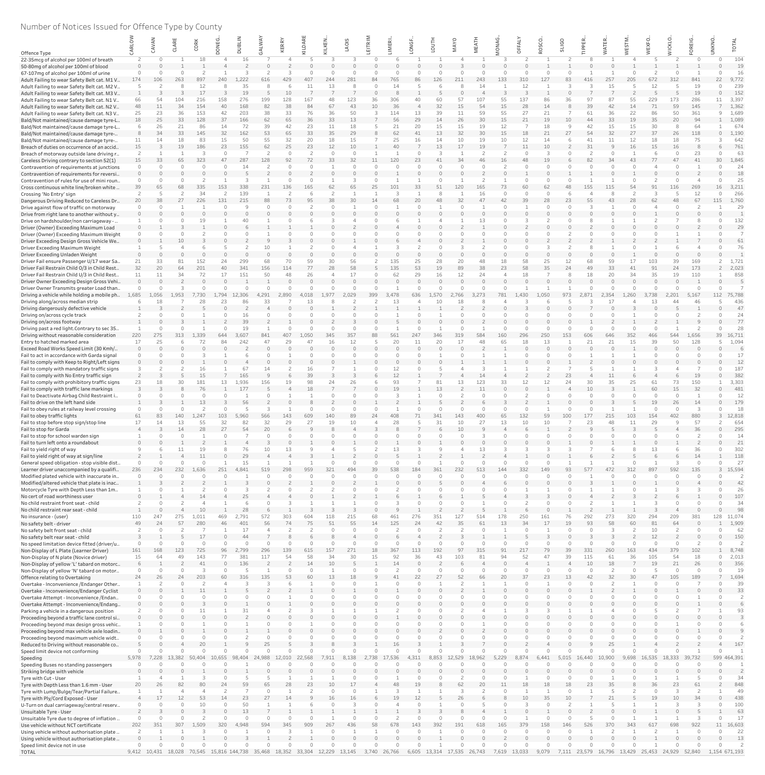# Number of Notices Issued for Offence Type by County

|                                                                                            |          |          |                                                                       | CORK      |          |              | NAY           | ERRY      | $\overline{a}$ |              | OIS      |              | <b>IMERI</b>   | <b>UGF</b> |          | <b>MAYO</b>         | MEAT      | <b>DNNG</b> | FALY         | SCO.         | <b>SLIGO</b>      |              | ATER           | <b>NEST</b>          |           | <b>MICKLO</b> | OREIG.        | UNKNO.        |                |
|--------------------------------------------------------------------------------------------|----------|----------|-----------------------------------------------------------------------|-----------|----------|--------------|---------------|-----------|----------------|--------------|----------|--------------|----------------|------------|----------|---------------------|-----------|-------------|--------------|--------------|-------------------|--------------|----------------|----------------------|-----------|---------------|---------------|---------------|----------------|
| Offence Type                                                                               |          |          |                                                                       |           |          |              |               |           |                |              |          |              |                |            |          |                     |           |             |              |              |                   |              |                |                      |           |               |               |               |                |
| 22-35mcg of alcohol per 100ml of breath                                                    |          |          |                                                                       |           |          |              |               |           |                |              |          |              |                |            |          |                     |           |             |              |              |                   |              |                |                      |           |               |               |               | 104            |
| 50-80mg of alcohol per 100ml of blood<br>67-107mg of alcohol per 100ml of urine            |          |          |                                                                       |           |          |              |               |           |                |              |          |              |                |            |          |                     |           |             |              |              |                   |              |                |                      |           |               |               |               | 19<br>16       |
| Adult Failing to wear Safety Belt cat. M1 V                                                | 174      | 106      | 263                                                                   | 897       | 240      | .222         | 616           | 429       |                |              | 281      |              | 765            |            | 26       |                     | 243       | 133         |              | 127          |                   |              | 257            |                      | 672       | 312           | 841           | 27            | 9,772          |
| Adult Failing to wear Safety Belt cat. M2 V                                                |          |          |                                                                       |           |          | 35           |               |           |                |              |          |              |                |            |          |                     |           |             |              |              |                   |              |                |                      |           |               | 19            |               | 239            |
| Adult Failing to wear Safety Belt cat. M3 V                                                |          | 54       | 104                                                                   | 216       | 158      | 19<br>276    | 199           | 10<br>128 | 167            | 48           | 123      | 36           | 306            |            | 60       | 57                  | 107       | 55          | 137          | 86           |                   | -97          |                |                      | 229       | 173           | 19<br>286     |               | 152<br>3,397   |
| Adult Failing to wear Safety Belt cat. N1 V<br>Adult Failing to wear Safety Belt cat. N2 V | 48       | 11       | 34                                                                    | 154       | 40       | 168          | 82            | 38        | 84             | 67           | 43       | 10           | 36             |            | 32       | 15                  | 54        | 15          | 28           | 14           |                   | 39           | 42             | 14                   | 71        | 59            | 145           |               | 1,362          |
| Adult Failing to wear Safety Belt cat. N3 V                                                | 25       | 23       | 36                                                                    | 153       | 42       | 203          | 38            | 33        | 76             | 36           | 50       |              | 114            | 13         | 39       | 11                  | 59        | 55          | 27           | 21           |                   | 61           | 36             | 22                   | 86        | 50            | 361           |               | 1,689          |
| Bald/Not maintained/cause damage tyre-L                                                    | 18       | 25       | 33                                                                    | 128       | 37       | 166          | 62            | 65        | 36             | 33           | 13       |              | 56             | 29         | 14       | 26                  | 30        | 15          | 21           | 19           | 10                | 44           | 33             | 19                   | 35        | 20            | 94            |               | 1,089          |
| Bald/Not maintained/cause damage tyre-L<br>Bald/Not maintained/cause damage tyre-          |          | 26<br>34 | 21<br>33                                                              | 86<br>145 | 14<br>32 | 72<br>162    | 39<br>53      | 42<br>65  | 23<br>33       | 11<br>35     | 18<br>29 |              | 21<br>62       | 20<br>41   | 15<br>13 | 15<br>32            | 19<br>30  | 12<br>15    | 18           | 18<br>21     | 9<br>27           | 42<br>-54    | 15<br>32       | 15<br>27             | 30<br>37  | 8<br>26       | 64<br>118     |               | 674<br>1,190   |
| Bald/Not maintained/cause damage tyre-                                                     | 11       | 14       | 18                                                                    | 83        | 15       | 50           | 55            | 32        | 20             | 18           | 15       |              | 25             | 16         | 14       | 10                  | 19        | 10          | 12           | 14           |                   | 41           | 11             | 12                   | 18        | 18            | 75            |               | 642            |
| Breach of duties on occurrence of an accid                                                 | 15       |          | 19                                                                    | 186       | 23       | 155          | 62            | 25        | 23             | 12           | 10       |              | 40             |            | 13       | 17                  | 19        |             |              | 10           |                   | 31           |                | 16                   | 15        | 16            |               |               | 761            |
| Breach of motorway outside lane driving r                                                  |          |          |                                                                       |           | $\cap$   |              | $\mathcal{L}$ |           |                | $\cap$<br>33 | 32       |              | 120            |            | 3        |                     |           |             |              | 3<br>19      |                   | $\bigcirc$   |                |                      | 77        |               | 23            | 30            | 63<br>1,845    |
| Careless Driving contrary to section 52(1)<br>Contravention of requirements at junctions   | 15       | 33       | 65                                                                    |           |          | 287          | 128           |           |                |              |          |              |                |            |          |                     |           |             |              |              |                   |              |                |                      |           |               |               |               | 24             |
| Contravention of requirements for reversi                                                  |          |          |                                                                       |           |          |              |               |           |                |              |          |              |                |            |          |                     |           |             |              |              |                   |              |                |                      |           |               |               |               | 18             |
| Contravention of rules for use of mini roun                                                |          |          |                                                                       |           |          |              |               |           |                |              |          |              |                |            |          |                     |           |             |              |              |                   |              |                |                      |           |               |               |               | 25             |
| Cross continuous white line/broken white<br>Crossing 'No Entry' sign                       | 39       | 65       | 68                                                                    | 335<br>34 | 153      | 338<br>139   | 231           | 136       | 165            | 62           | 65       |              |                | 33         | 51<br>8  | 120                 | 165<br>16 | 73          |              | 62<br>$\cap$ |                   | 155          | 115            |                      | 91        | 116           | 269<br>12     | 16            | 3,211<br>266   |
| Dangerous Driving Reduced to Careless Dr                                                   | 20       | 38       | 27                                                                    | 226       | 131      | 215          | 88            | 73        | 95             | 38           | 30       |              |                |            | 48       | 32                  |           |             | 39           | 28           |                   | 55           |                | 28                   | 62        | 48            | 67            | 115           | 1,760          |
| Drive against flow of traffic on motorway                                                  |          |          |                                                                       |           |          |              |               |           |                |              |          |              |                |            |          |                     |           |             |              |              |                   |              |                |                      |           |               |               |               | 29             |
| Drive from right lane to another without y                                                 |          |          |                                                                       |           |          |              |               |           |                |              |          |              |                |            |          |                     |           |             |              |              |                   |              |                |                      |           |               |               |               |                |
| Drive on hardshoulder/non carriageway -<br>Driver (Owner) Exceeding Maximum Load           |          |          |                                                                       |           |          |              |               |           |                |              |          |              |                |            |          |                     | 13        |             |              |              |                   |              |                |                      |           |               |               |               | 132<br>29      |
| Driver (Owner) Exceeding Maximum Weight                                                    |          |          |                                                                       |           |          |              |               |           |                |              |          |              |                |            |          |                     |           |             |              |              |                   |              |                |                      |           |               |               |               |                |
| Driver Exceeding Design Gross Vehicle We                                                   |          |          |                                                                       |           |          |              |               |           |                |              |          |              |                |            |          |                     |           |             |              |              |                   |              |                |                      |           |               |               |               | 61             |
| Driver Exceeding Maximum Weight                                                            |          |          |                                                                       |           |          |              | 10            |           |                |              |          |              |                |            |          |                     |           |             |              |              |                   |              |                |                      |           |               |               |               | 76             |
| Driver Exceeding Unladen Weight<br>Driver Fail ensure Passenger U/17 wear Sa.              | 21       | 33       | 81                                                                    | 152       | 24       | 299          | 68            | 70        | 5C             | 30           | 56       |              | 135            | 25         | 28       | 20                  | 48        | 18          | 58           | 25           | $12 \overline{ }$ | 68           | 5 <sup>c</sup> | 17                   | 103       | 39            | 169           |               | 1,721          |
| Driver Fail Restrain Child 0/3 in Child Rest                                               | 32       | 20       | 64                                                                    | 201       | 40       | 341          | 156           | 114       |                | 28           | 58       |              | 135            | 53         | 19       | 89                  | 38        | 23          | 58           | 35           | 24                | 49           | 33             |                      | 91        | 24            | 173           |               | 2,023          |
| Driver Fail Restrain Child U/3 in Child Rest.                                              | 11       |          | 34                                                                    | 72        | 17       | 151          | 50            | 48        |                |              |          |              | 62             | 29.        | 16       | 12                  |           |             |              |              |                   |              |                | 34                   | 35        | 19            | 110           |               | 858            |
| Driver Owner Exceeding Design Gross Vehi<br>Driver Owner Transmits greater Load than       |          |          |                                                                       |           |          |              |               |           |                |              |          |              |                |            |          |                     |           |             |              |              |                   |              |                |                      |           |               |               |               |                |
| Driving a vehicle while holding a mobile ph                                                | 1,685    | 1,056    | 1,953                                                                 | 7,730     | 1.794    | 12,306       | 4,291         | 2,890     | 4,018          | 1.977        | 2,029    | 399          | 3.478          | 636        | 1,570    | 2,766               | 3.273     | 781         | 1.430        | 1,050        | 973               | 2.871        | 2,354          | 1,260                | 3,738     | 2,201         | 5,167         | 112           | 75,788         |
| Driving along/across median strip                                                          |          | 18       |                                                                       | 28        | 23       | 86           | 33            |           | 13             |              |          |              | 13             |            | 10       | 18                  |           |             |              |              |                   |              | 17             |                      | 13        |               | 46            |               | 436            |
| Driving dangerously defective vehicle                                                      |          |          |                                                                       |           |          |              |               |           |                |              |          |              |                |            |          |                     |           |             |              |              |                   |              |                |                      | $\cap$    |               |               |               | 47             |
| Driving on/across cycle track<br>Driving on/across footway                                 |          |          |                                                                       |           |          | 16<br>39     |               |           |                |              |          |              |                |            |          |                     |           |             |              |              |                   |              |                |                      |           |               |               |               | 24<br>77       |
| Driving past a red light. Contrary to sec 35                                               |          |          |                                                                       |           |          | 19           |               |           |                |              |          |              |                |            |          |                     |           |             |              |              |                   |              |                |                      |           |               |               |               | 28             |
| Driving without reasonable consideration                                                   | 220      | 275      | 313                                                                   | 1,339     | 644      | 3,607        | 841           | 407       | 1.050          | 345          | 357      | 88           | 561            | 247        | 346      | 319                 | 584       | 160         | 296          | 250          | 153               | 606          | 646            | 352                  | 466       | 544           | 1,656         | 39            | 16,711         |
| Entry to hatched marked area                                                               | 17       | 25       |                                                                       |           | 84       | 242          | 47            | 29        |                | 16           | 12       |              | 20             | 11         | 20       | 17                  | 48        | 65          | 18           | 13           |                   | 21           | 21             | 15                   | 39        | 50            | 128           |               | 1,094<br>6     |
| Exceed Road Works Speed Limit (30 Kmh/<br>Fail to act in accordance with Garda signal      |          |          |                                                                       |           |          |              |               |           |                |              |          |              |                |            |          |                     |           |             |              |              |                   |              |                |                      |           |               |               |               | 17             |
| Fail to comply with Keep to Right/Left signs                                               |          |          |                                                                       |           |          |              |               |           |                |              |          |              |                |            |          |                     |           |             |              |              |                   |              |                |                      |           |               |               |               | 12             |
| Fail to comply with mandatory traffic signs                                                |          |          |                                                                       |           |          | 67           | 14            |           |                |              |          |              | 12             |            |          |                     |           |             |              |              |                   |              |                |                      |           |               |               |               | 187            |
| Fail to comply with No Entry traffic sign<br>Fail to comply with prohibitory traffic signs | 23       | 18       | 30                                                                    | 181       | 13       | 165<br>.,936 | 156           | 19        | 39<br>98       | 24           | 26       |              | 12<br>93       |            | 81       | 13                  | 14<br>123 | 33          | 12           | 12           | 23<br>24          | 30           | 35             | 25                   | 61        | 73            | 19<br>150     |               | 382<br>3,303   |
| Fail to comply with traffic lane markings                                                  |          |          |                                                                       | 76        |          | 177          |               |           | 18             |              |          |              | 19             |            | 13       |                     | 11        |             |              |              |                   | 10           |                |                      | 60        | 15            | 32            |               | 481            |
| Fail to Deactivate Airbag Child Restraint i                                                |          |          |                                                                       |           |          |              |               |           |                |              |          | $\cap$       |                |            |          |                     |           |             |              | $\cap$       |                   | $\cap$       |                |                      | $\bigcap$ | $\Omega$      |               |               | 12             |
| Fail to drive on the left hand side                                                        |          |          |                                                                       |           |          | 56           |               |           |                |              |          |              |                |            |          |                     |           |             |              |              |                   |              |                |                      | 19        | 26            | 14            |               | 179            |
| Fail to obey rules at railway level crossing<br>Fail to obey traffic lights                | 61       | 83       | 140                                                                   | 1,247     | 103      | 5,960        | 566           | 143       | 609            | 140          | 89       | $\cap$<br>24 | 408            |            | 341      | 143                 | 400       | 65          | 132          | 59           | 100               | 177          | 215            | 103                  | 154       | 402           | 880           |               | 18<br>3 12,818 |
| Fail to stop before stop sign/stop line                                                    | 17       | 14       | 13                                                                    | 55        | 32       | 82           | 32            | 29        | 27             | 19           | 10       |              | 28             |            | 31       | 10                  | 27        | 13          |              | 10           |                   | 23           | 48             | 11                   | 29        |               | 57            |               | 654            |
| Fail to stop for Garda                                                                     |          |          |                                                                       | 28        | 27       | 54           | 20            |           |                |              |          |              |                |            | 6        | 10                  |           |             |              |              |                   |              |                |                      | 5         |               | 36            |               | 295            |
| Fail to stop for school warden sign                                                        |          |          |                                                                       |           |          |              |               |           |                |              |          |              |                |            |          |                     |           |             |              |              |                   |              |                |                      |           |               |               |               | 14             |
| Fail to turn left onto a roundabout<br>Fail to yield right of way                          | $\Omega$ |          |                                                                       |           |          | 76           | 10            | 13        |                |              |          |              | 13             |            |          |                     | 13        |             |              |              |                   |              |                |                      | 13        |               | 36            |               | 21<br>302      |
| Fail to yield right of way at sign/line                                                    |          |          |                                                                       | 11        |          | 29           |               |           |                |              |          |              |                |            |          |                     |           |             |              |              |                   |              |                |                      |           |               | 14            |               | 118            |
| General speed obligation - stop visible dist                                               |          |          |                                                                       |           |          | 15           |               |           |                |              |          |              |                |            |          |                     |           |             |              |              |                   |              |                |                      |           |               |               |               | 27             |
| Learner driver unaccompanied by a qualifi<br>Modified plated vehicle with inaccurate in    | 236      | 234      | 232                                                                   | 1,636     | 251      | 4.841        | 519           | 298       | 959            | 321          | 494      | 39           | 538            | 184        | 361      | 232                 | 513       | 144         | 332          | 149          | 93                | 577          | 472            | 312                  | 897       | 592           | 135<br>$\cap$ |               | 15,594<br>-2   |
| Modified/altered vehicle that plate is inac                                                |          |          |                                                                       |           |          |              |               |           |                |              |          |              |                |            |          |                     |           |             |              |              |                   |              |                |                      |           |               |               |               | 42             |
| Motorcycle Tyre with Depth Less than 1m                                                    |          |          |                                                                       |           |          |              |               |           |                |              |          |              |                |            |          |                     |           |             |              |              |                   |              |                |                      |           |               |               |               | -26            |
| No cert of road worthiness user                                                            |          |          |                                                                       |           |          |              |               |           |                |              |          |              |                |            |          |                     |           |             |              |              |                   |              |                |                      |           |               |               |               | 107            |
| No child restraint front seat - child<br>No child restraint rear seat - child              |          |          |                                                                       |           |          |              |               |           |                |              |          |              |                |            |          |                     |           |             |              |              |                   |              |                |                      |           |               |               |               | 34<br>98       |
| No insurance - (user)                                                                      | 110      | 247      |                                                                       |           | 469      | 2.791        |               |           |                |              |          |              |                |            |          |                     |           |             |              |              |                   |              |                |                      |           |               | 381           | 128           | 11.074         |
| No safety belt - driver                                                                    | 49       | 24       | 57                                                                    | 280       | 46       | 401          | 56            | 74        | /5             | 51           | 55       | 14           | 125            |            | 42       | 35                  |           | 13          |              | 17           | 19                | 93           | 58             |                      | 81        | 64            |               |               | 1,909          |
| No safety belt front seat - child<br>No safety belt rear seat - child                      |          |          |                                                                       |           |          | 17<br>44     |               |           |                |              |          |              |                |            |          |                     |           |             |              |              |                   |              |                |                      | 10<br>12  |               |               |               | 62<br>150      |
| No speed limitation device fitted (driver/u                                                |          |          |                                                                       |           |          |              |               |           |                |              |          |              |                |            |          |                     |           |             |              |              |                   |              |                |                      | $\Omega$  |               |               |               |                |
| Non-Display of L Plate (Learner Driver)                                                    | 161      | 168      | 123                                                                   | 725       | 96       | ,799         | 296           | 139       | 615            | 157          | 271      | 18           | 367            | 113        | 192      | 97                  | 315       | 91          | 217          | 79           | 39                | 331          | 260            | 163                  | 434       | 379           | 102           |               | 8,748          |
| Non-Display of N plate (Novice driver)                                                     | 15       | 64       | 49                                                                    | 143       | 77       | 381          | 117           | 54        | 58             | 34           | 30       | 15           | 92             | 36         | 43       | 103                 | 81        |             | 52           | 47           | 39                | 115          | 61             | 36                   | 105       | 54            | 18            |               | 2,013          |
| Non-Display of yellow 'L' tabard on motorc<br>Non-Display of yellow 'N' tabard on motor    |          |          |                                                                       | -41       | $\Omega$ | 136          |               |           | 14             | 10           |          |              | 14             |            |          |                     |           |             |              |              |                   | 10           | 18             |                      | 19        | 21            | 26            |               | 356<br>19      |
| Offence relating to Overtaking                                                             | 24       | 26       |                                                                       |           | 60       | 316          | 135           | 53        |                | 13           | 18       |              |                |            | 27       | 52                  |           |             |              | 23           |                   |              | 32             |                      | 47        | 105           | 189           |               | 1,694          |
| Overtake - Inconvenience / Endanger Other                                                  |          |          |                                                                       |           |          |              |               |           |                |              |          |              |                |            |          |                     |           |             |              |              |                   |              |                |                      |           |               |               |               | 39             |
| Overtake - Inconvenience/Endanger Cyclist                                                  |          |          |                                                                       |           |          |              |               |           |                |              |          |              |                |            |          |                     |           |             |              |              |                   |              |                |                      |           |               |               |               | 33             |
| Overtake Attempt - Inconvenience / Endan<br>Overtake Attempt - Inconvenience/Endang        |          |          |                                                                       |           |          |              |               |           |                |              |          |              |                |            |          |                     |           |             |              |              |                   |              |                |                      |           |               |               |               |                |
| Parking a vehicle in a dangerous position                                                  |          |          |                                                                       |           |          | 31           |               |           |                |              |          |              |                |            |          |                     |           |             |              |              |                   |              |                |                      |           |               |               |               | 93             |
| Proceeding beyond a traffic lane control si                                                |          |          |                                                                       |           |          |              |               |           |                |              |          |              |                |            |          |                     |           |             |              |              |                   |              |                |                      |           |               |               |               |                |
| Proceeding beyond max design gross vehic                                                   |          |          |                                                                       |           |          |              |               |           |                |              |          |              |                |            |          |                     |           |             |              |              |                   |              |                |                      |           |               |               |               |                |
| Proceeding beyond max vehicle axle loadin<br>Proceeding beyond maximum vehicle widt        | $\cap$   |          |                                                                       |           |          |              |               |           |                |              |          |              |                |            |          |                     |           |             |              | $\cap$       |                   |              |                |                      |           |               |               |               |                |
| Reduced to Driving without reasonable co                                                   |          |          |                                                                       |           |          |              |               |           |                |              |          |              |                |            |          |                     |           |             |              |              |                   |              |                |                      |           |               |               |               | 167            |
| Speed limit device not conforming                                                          |          |          |                                                                       |           |          |              |               |           |                |              |          |              |                |            |          |                     |           |             |              |              |                   |              |                |                      |           |               |               |               |                |
| Speeding                                                                                   | 5,978    | 7.228    | 13,382                                                                | 50.404    | 10.655   | .404         | 24.988        | 12.010    | 22,568         |              | 8.138    | 2.738        | 17,536         |            | 8.853    | 12,529              | 18,962    | 5,229       |              | 6.441        | 5.015             | 16.440       | 10.900         | 9.698                | 16,535    | 18,333        | 39,732        |               | 599 464,391    |
| Speeding Buses no standing passengers<br>Striking bridge with vehicle                      | $\cap$   |          |                                                                       |           |          |              |               |           |                |              |          |              |                |            |          |                     |           |             |              |              |                   |              |                |                      |           |               |               |               |                |
| Tyre with Cut - User                                                                       |          |          |                                                                       |           |          |              |               |           |                |              |          |              |                |            |          |                     |           |             |              |              |                   |              |                |                      |           |               |               |               | 34             |
| Tyre with Depth Less than 1.6 mm - User                                                    | 20       | 26       | 82                                                                    | 80        | 24       | 59           | 65            | 28        | 23             | 10           | 17       |              |                |            |          | 62                  |           |             | 18           | 18           | 18                | 23           | 35             |                      | 36        | 23            | 61            |               | 848            |
| Tyre with Lump/Bulge/Tear/Partial Failure<br>Tyre with Ply/Cord Exposed - User             |          | 17       | 12                                                                    | 53        | 14       | 23           |               |           |                | 16           | 16       |              | 1 <sup>c</sup> |            |          | 26                  |           |             |              | 35           | 10                |              |                |                      | 19        | 10            | 34            |               | 49<br>438      |
| U-Turn on dual carriageway/central reserv                                                  |          |          |                                                                       |           | $\Omega$ | 50           |               |           |                |              |          |              |                |            |          |                     |           |             |              |              |                   |              |                |                      |           |               |               |               | 100            |
| Unsuitable Tyre - User                                                                     |          |          |                                                                       |           |          | 13           |               |           |                |              |          |              |                |            |          |                     |           |             |              |              |                   |              |                |                      |           |               |               |               | 63             |
| Unsuitable Tyre due to degree of inflation                                                 |          |          |                                                                       |           |          |              |               |           |                |              |          | $\cap$       |                |            |          |                     |           |             |              |              |                   |              |                |                      |           |               |               |               | 17             |
| Use vehicle without NCT certificate<br>Using vehicle without authorisation plate.          | 202      | 351      |                                                                       | L.509     | 320      | 4,948        | 594           | 345       |                |              | 436      | 58           |                | 143        | 392      | 191                 | 618       | 165         |              | 158          | 146               | 526          |                | 343                  |           | 698           | 922           | 11            | 16,603<br>22   |
| Using vehicle without authorisation plate                                                  |          |          |                                                                       |           |          |              |               |           |                |              |          |              |                |            |          |                     |           |             |              |              |                   |              |                |                      |           |               |               |               | 13             |
| Speed limit device not in use                                                              |          |          |                                                                       |           |          |              |               |           |                |              |          |              |                |            |          |                     |           |             |              |              |                   |              |                |                      |           |               |               |               |                |
| <b>TOTAL</b>                                                                               |          |          | 9,412 10,431 18,028 70,545 15,816 144,738 35,468 18,352 33,304 12,229 |           |          |              |               |           |                |              | 13,145   | 3,740        | 26,766         |            |          | 6,605 13,314 17,535 | 26,743    |             | 7,619 13,033 | 9,079        |                   | 7,111 23,579 | 16,796         | 13,429 25,453 24,929 |           |               | 52,840        | 1,154 671,193 |                |